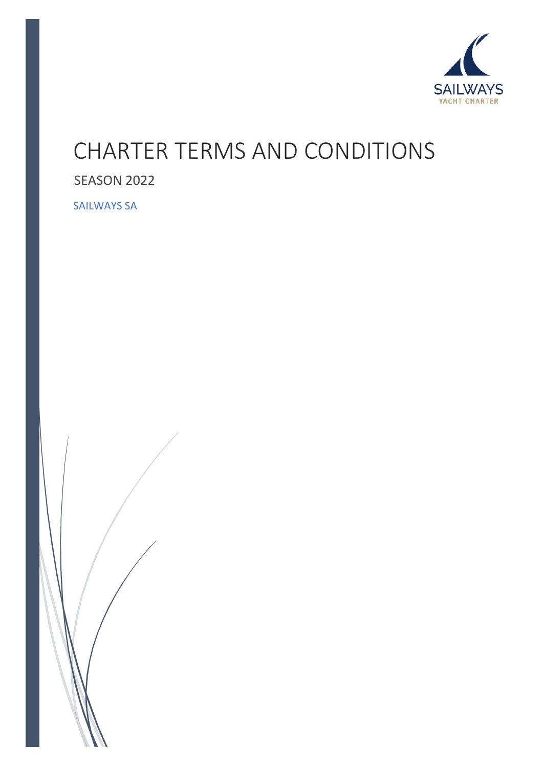

# CHARTER TERMS AND CONDITIONS

## SEASON 2022

SAILWAYS SA

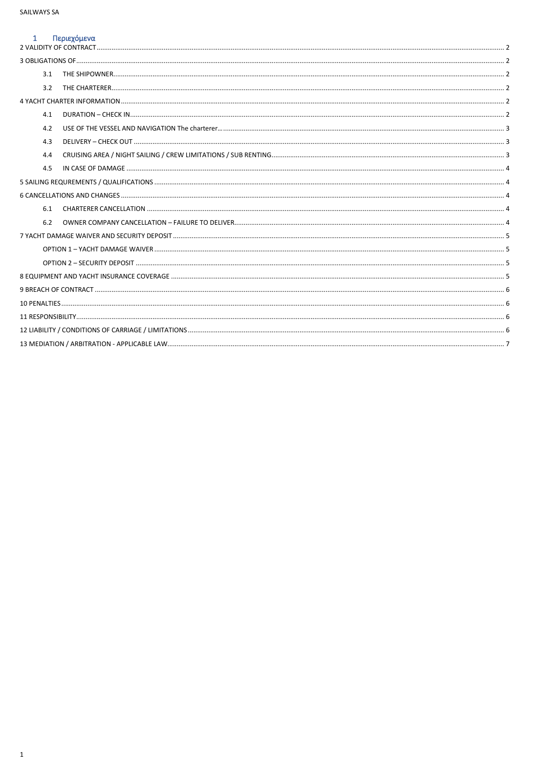### 1 Περιεχόμενα

| περιεχυμενα |  |
|-------------|--|
|             |  |
|             |  |
| 3.1         |  |
| 3.2         |  |
|             |  |
| 4.1         |  |
| 4.2         |  |
| 4.3         |  |
| 4.4         |  |
| 4.5         |  |
|             |  |
|             |  |
| 6.1         |  |
| 6.2         |  |
|             |  |
|             |  |
|             |  |
|             |  |
|             |  |
|             |  |
|             |  |
|             |  |
|             |  |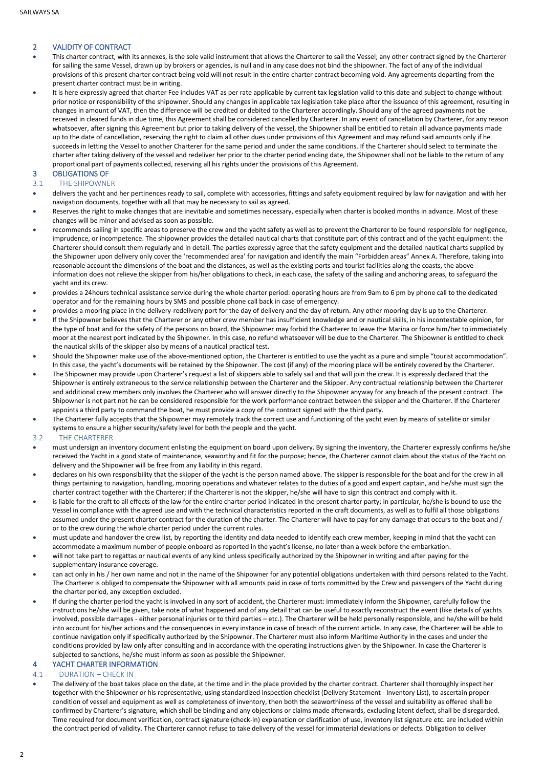#### <span id="page-2-0"></span>2 VALIDITY OF CONTRACT

- This charter contract, with its annexes, is the sole valid instrument that allows the Charterer to sail the Vessel; any other contract signed by the Charterer for sailing the same Vessel, drawn up by brokers or agencies, is null and in any case does not bind the shipowner. The fact of any of the individual provisions of this present charter contract being void will not result in the entire charter contract becoming void. Any agreements departing from the present charter contract must be in writing.
- It is here expressly agreed that charter Fee includes VAT as per rate applicable by current tax legislation valid to this date and subject to change without prior notice or responsibility of the shipowner. Should any changes in applicable tax legislation take place after the issuance of this agreement, resulting in changes in amount of VAT, then the difference will be credited or debited to the Charterer accordingly. Should any of the agreed payments not be received in cleared funds in due time, this Agreement shall be considered cancelled by Charterer. In any event of cancellation by Charterer, for any reason whatsoever, after signing this Agreement but prior to taking delivery of the vessel, the Shipowner shall be entitled to retain all advance payments made up to the date of cancellation, reserving the right to claim all other dues under provisions of this Agreement and may refund said amounts only if he succeeds in letting the Vessel to another Charterer for the same period and under the same conditions. If the Charterer should select to terminate the charter after taking delivery of the vessel and redeliver her prior to the charter period ending date, the Shipowner shall not be liable to the return of any proportional part of payments collected, reserving all his rights under the provisions of this Agreement.

#### <span id="page-2-1"></span>3 OBLIGATIONS OF

- <span id="page-2-2"></span>3.1 THE SHIPOWNER
- delivers the yacht and her pertinences ready to sail, complete with accessories, fittings and safety equipment required by law for navigation and with her navigation documents, together with all that may be necessary to sail as agreed.
- Reserves the right to make changes that are inevitable and sometimes necessary, especially when charter is booked months in advance. Most of these changes will be minor and advised as soon as possible.
- recommends sailing in specific areas to preserve the crew and the yacht safety as well as to prevent the Charterer to be found responsible for negligence, imprudence, or incompetence. The shipowner provides the detailed nautical charts that constitute part of this contract and of the yacht equipment: the Charterer should consult them regularly and in detail. The parties expressly agree that the safety equipment and the detailed nautical charts supplied by the Shipowner upon delivery only cover the 'recommended area' for navigation and identify the main "Forbidden areas" Annex A. Therefore, taking into reasonable account the dimensions of the boat and the distances, as well as the existing ports and tourist facilities along the coasts, the above information does not relieve the skipper from his/her obligations to check, in each case, the safety of the sailing and anchoring areas, to safeguard the yacht and its crew.
- provides a 24hours technical assistance service during the whole charter period: operating hours are from 9am to 6 pm by phone call to the dedicated operator and for the remaining hours by SMS and possible phone call back in case of emergency.
- provides a mooring place in the delivery-redelivery port for the day of delivery and the day of return. Any other mooring day is up to the Charterer.
- If the Shipowner believes that the Charterer or any other crew member has insufficient knowledge and or nautical skills, in his incontestable opinion, for the type of boat and for the safety of the persons on board, the Shipowner may forbid the Charterer to leave the Marina or force him/her to immediately moor at the nearest port indicated by the Shipowner. In this case, no refund whatsoever will be due to the Charterer. The Shipowner is entitled to check the nautical skills of the skipper also by means of a nautical practical test.
- Should the Shipowner make use of the above-mentioned option, the Charterer is entitled to use the yacht as a pure and simple "tourist accommodation". In this case, the yacht's documents will be retained by the Shipowner. The cost (if any) of the mooring place will be entirely covered by the Charterer.
- The Shipowner may provide upon Charterer's request a list of skippers able to safely sail and that will join the crew. It is expressly declared that the Shipowner is entirely extraneous to the service relationship between the Charterer and the Skipper. Any contractual relationship between the Charterer and additional crew members only involves the Charterer who will answer directly to the Shipowner anyway for any breach of the present contract. The Shipowner is not part not he can be considered responsible for the work performance contract between the skipper and the Charterer. If the Charterer appoints a third party to command the boat, he must provide a copy of the contract signed with the third party.
- The Charterer fully accepts that the Shipowner may remotely track the correct use and functioning of the yacht even by means of satellite or similar systems to ensure a higher security/safety level for both the people and the yacht.

#### <span id="page-2-3"></span>3.2 THE CHARTERER

- must undersign an inventory document enlisting the equipment on board upon delivery. By signing the inventory, the Charterer expressly confirms he/she received the Yacht in a good state of maintenance, seaworthy and fit for the purpose; hence, the Charterer cannot claim about the status of the Yacht on delivery and the Shipowner will be free from any liability in this regard.
- declares on his own responsibility that the skipper of the yacht is the person named above. The skipper is responsible for the boat and for the crew in all things pertaining to navigation, handling, mooring operations and whatever relates to the duties of a good and expert captain, and he/she must sign the charter contract together with the Charterer; if the Charterer is not the skipper, he/she will have to sign this contract and comply with it.
- is liable for the craft to all effects of the law for the entire charter period indicated in the present charter party; in particular, he/she is bound to use the Vessel in compliance with the agreed use and with the technical characteristics reported in the craft documents, as well as to fulfil all those obligations assumed under the present charter contract for the duration of the charter. The Charterer will have to pay for any damage that occurs to the boat and / or to the crew during the whole charter period under the current rules.
- must update and handover the crew list, by reporting the identity and data needed to identify each crew member, keeping in mind that the yacht can accommodate a maximum number of people onboard as reported in the yacht's license, no later than a week before the embarkation.
- will not take part to regattas or nautical events of any kind unless specifically authorized by the Shipowner in writing and after paying for the supplementary insurance coverage.
- can act only in his / her own name and not in the name of the Shipowner for any potential obligations undertaken with third persons related to the Yacht. The Charterer is obliged to compensate the Shipowner with all amounts paid in case of torts committed by the Crew and passengers of the Yacht during the charter period, any exception excluded.
- If during the charter period the yacht is involved in any sort of accident, the Charterer must: immediately inform the Shipowner, carefully follow the instructions he/she will be given, take note of what happened and of any detail that can be useful to exactly reconstruct the event (like details of yachts involved, possible damages - either personal injuries or to third parties – etc.). The Charterer will be held personally responsible, and he/she will be held into account for his/her actions and the consequences in every instance in case of breach of the current article. In any case, the Charterer will be able to continue navigation only if specifically authorized by the Shipowner. The Charterer must also inform Maritime Authority in the cases and under the conditions provided by law only after consulting and in accordance with the operating instructions given by the Shipowner. In case the Charterer is subjected to sanctions, he/she must inform as soon as possible the Shipowner.

#### <span id="page-2-4"></span>YACHT CHARTER INFORMATION

#### <span id="page-2-5"></span>4.1 DURATION – CHECK IN

The delivery of the boat takes place on the date, at the time and in the place provided by the charter contract. Charterer shall thoroughly inspect her together with the Shipowner or his representative, using standardized inspection checklist (Delivery Statement - Inventory List), to ascertain proper condition of vessel and equipment as well as completeness of inventory, then both the seaworthiness of the vessel and suitability as offered shall be confirmed by Charterer's signature, which shall be binding and any objections or claims made afterwards, excluding latent defect, shall be disregarded. Time required for document verification, contract signature (check-in) explanation or clarification of use, inventory list signature etc. are included within the contract period of validity. The Charterer cannot refuse to take delivery of the vessel for immaterial deviations or defects. Obligation to deliver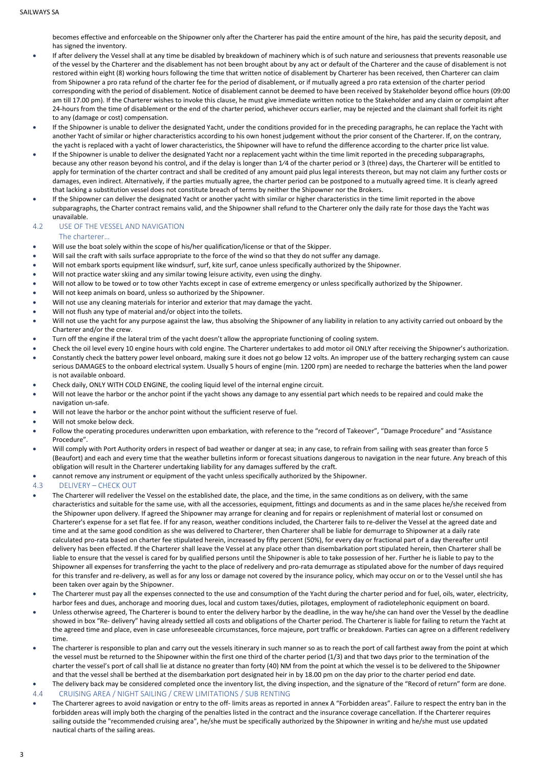becomes effective and enforceable on the Shipowner only after the Charterer has paid the entire amount of the hire, has paid the security deposit, and has signed the inventory.

- If after delivery the Vessel shall at any time be disabled by breakdown of machinery which is of such nature and seriousness that prevents reasonable use of the vessel by the Charterer and the disablement has not been brought about by any act or default of the Charterer and the cause of disablement is not restored within eight (8) working hours following the time that written notice of disablement by Charterer has been received, then Charterer can claim from Shipowner a pro rata refund of the charter fee for the period of disablement, or if mutually agreed a pro rata extension of the charter period corresponding with the period of disablement. Notice of disablement cannot be deemed to have been received by Stakeholder beyond office hours (09:00 am till 17.00 pm). If the Charterer wishes to invoke this clause, he must give immediate written notice to the Stakeholder and any claim or complaint after 24-hours from the time of disablement or the end of the charter period, whichever occurs earlier, may be rejected and the claimant shall forfeit its right to any (damage or cost) compensation.
- If the Shipowner is unable to deliver the designated Yacht, under the conditions provided for in the preceding paragraphs, he can replace the Yacht with another Yacht of similar or higher characteristics according to his own honest judgement without the prior consent of the Charterer. If, on the contrary, the yacht is replaced with a yacht of lower characteristics, the Shipowner will have to refund the difference according to the charter price list value.
- If the Shipowner is unable to deliver the designated Yacht nor a replacement yacht within the time limit reported in the preceding subparagraphs, because any other reason beyond his control, and if the delay is longer than 1⁄4 of the charter period or 3 (three) days, the Charterer will be entitled to apply for termination of the charter contract and shall be credited of any amount paid plus legal interests thereon, but may not claim any further costs or damages, even indirect. Alternatively, if the parties mutually agree, the charter period can be postponed to a mutually agreed time. It is clearly agreed that lacking a substitution vessel does not constitute breach of terms by neither the Shipowner nor the Brokers.
- If the Shipowner can deliver the designated Yacht or another yacht with similar or higher characteristics in the time limit reported in the above subparagraphs, the Charter contract remains valid, and the Shipowner shall refund to the Charterer only the daily rate for those days the Yacht was unavailable.

#### <span id="page-3-0"></span>4.2 USE OF THE VESSEL AND NAVIGATION The charterer…

- Will use the boat solely within the scope of his/her qualification/license or that of the Skipper.
- Will sail the craft with sails surface appropriate to the force of the wind so that they do not suffer any damage.
- Will not embark sports equipment like windsurf, surf, kite surf, canoe unless specifically authorized by the Shipowner.
- Will not practice water skiing and any similar towing leisure activity, even using the dinghy.
- Will not allow to be towed or to tow other Yachts except in case of extreme emergency or unless specifically authorized by the Shipowner.
- Will not keep animals on board, unless so authorized by the Shipowner.
- Will not use any cleaning materials for interior and exterior that may damage the yacht.
- Will not flush any type of material and/or object into the toilets.
- Will not use the yacht for any purpose against the law, thus absolving the Shipowner of any liability in relation to any activity carried out onboard by the Charterer and/or the crew.
- Turn off the engine if the lateral trim of the yacht doesn't allow the appropriate functioning of cooling system.
- Check the oil level every 10 engine hours with cold engine. The Charterer undertakes to add motor oil ONLY after receiving the Shipowner's authorization. • Constantly check the battery power level onboard, making sure it does not go below 12 volts. An improper use of the battery recharging system can cause serious DAMAGES to the onboard electrical system. Usually 5 hours of engine (min. 1200 rpm) are needed to recharge the batteries when the land power is not available onboard.
- Check daily, ONLY WITH COLD ENGINE, the cooling liquid level of the internal engine circuit.
- Will not leave the harbor or the anchor point if the yacht shows any damage to any essential part which needs to be repaired and could make the navigation un-safe.
- Will not leave the harbor or the anchor point without the sufficient reserve of fuel.
- Will not smoke below deck.
- Follow the operating procedures underwritten upon embarkation, with reference to the "record of Takeover", "Damage Procedure" and "Assistance Procedure".
- Will comply with Port Authority orders in respect of bad weather or danger at sea; in any case, to refrain from sailing with seas greater than force 5 (Beaufort) and each and every time that the weather bulletins inform or forecast situations dangerous to navigation in the near future. Any breach of this obligation will result in the Charterer undertaking liability for any damages suffered by the craft.
- cannot remove any instrument or equipment of the yacht unless specifically authorized by the Shipowner.

#### <span id="page-3-1"></span>4.3 DELIVERY – CHECK OUT

- The Charterer will redeliver the Vessel on the established date, the place, and the time, in the same conditions as on delivery, with the same characteristics and suitable for the same use, with all the accessories, equipment, fittings and documents as and in the same places he/she received from the Shipowner upon delivery. If agreed the Shipowner may arrange for cleaning and for repairs or replenishment of material lost or consumed on Charterer's expense for a set flat fee. If for any reason, weather conditions included, the Charterer fails to re-deliver the Vessel at the agreed date and time and at the same good condition as she was delivered to Charterer, then Charterer shall be liable for demurrage to Shipowner at a daily rate calculated pro-rata based on charter fee stipulated herein, increased by fifty percent (50%), for every day or fractional part of a day thereafter until delivery has been effected. If the Charterer shall leave the Vessel at any place other than disembarkation port stipulated herein, then Charterer shall be liable to ensure that the vessel is cared for by qualified persons until the Shipowner is able to take possession of her. Further he is liable to pay to the Shipowner all expenses for transferring the yacht to the place of redelivery and pro-rata demurrage as stipulated above for the number of days required for this transfer and re-delivery, as well as for any loss or damage not covered by the insurance policy, which may occur on or to the Vessel until she has been taken over again by the Shipowner.
- The Charterer must pay all the expenses connected to the use and consumption of the Yacht during the charter period and for fuel, oils, water, electricity, harbor fees and dues, anchorage and mooring dues, local and custom taxes/duties, pilotages, employment of radiotelephonic equipment on board.
- Unless otherwise agreed, The Charterer is bound to enter the delivery harbor by the deadline, in the way he/she can hand over the Vessel by the deadline showed in box "Re- delivery" having already settled all costs and obligations of the Charter period. The Charterer is liable for failing to return the Yacht at the agreed time and place, even in case unforeseeable circumstances, force majeure, port traffic or breakdown. Parties can agree on a different redelivery time.
- The charterer is responsible to plan and carry out the vessels itinerary in such manner so as to reach the port of call farthest away from the point at which the vessel must be returned to the Shipowner within the first one third of the charter period (1/3) and that two days prior to the termination of the charter the vessel's port of call shall lie at distance no greater than forty (40) NM from the point at which the vessel is to be delivered to the Shipowner and that the vessel shall be berthed at the disembarkation port designated heir in by 18.00 pm on the day prior to the charter period end date.
- The delivery back may be considered completed once the inventory list, the diving inspection, and the signature of the "Record of return" form are done.
- <span id="page-3-2"></span>4.4 CRUISING AREA / NIGHT SAILING / CREW LIMITATIONS / SUB RENTING
- The Charterer agrees to avoid navigation or entry to the off- limits areas as reported in annex A "Forbidden areas". Failure to respect the entry ban in the forbidden areas will imply both the charging of the penalties listed in the contract and the insurance coverage cancellation. If the Charterer requires sailing outside the "recommended cruising area", he/she must be specifically authorized by the Shipowner in writing and he/she must use updated nautical charts of the sailing areas.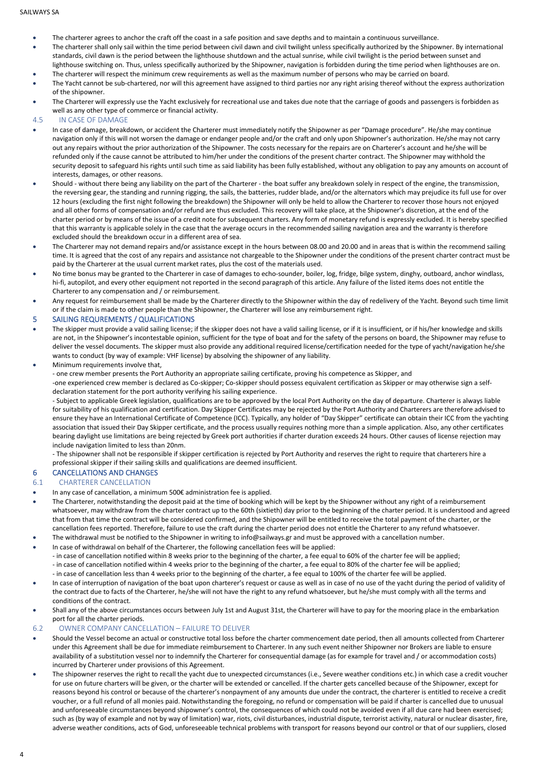- The charterer agrees to anchor the craft off the coast in a safe position and save depths and to maintain a continuous surveillance.
- The charterer shall only sail within the time period between civil dawn and civil twilight unless specifically authorized by the Shipowner. By international standards, civil dawn is the period between the lighthouse shutdown and the actual sunrise, while civil twilight is the period between sunset and
- lighthouse switching on. Thus, unless specifically authorized by the Shipowner, navigation is forbidden during the time period when lighthouses are on. • The charterer will respect the minimum crew requirements as well as the maximum number of persons who may be carried on board.
- The Yacht cannot be sub-chartered, nor will this agreement have assigned to third parties nor any right arising thereof without the express authorization of the shipowner.
- The Charterer will expressly use the Yacht exclusively for recreational use and takes due note that the carriage of goods and passengers is forbidden as well as any other type of commerce or financial activity.
- <span id="page-4-0"></span>4.5 IN CASE OF DAMAGE
- In case of damage, breakdown, or accident the Charterer must immediately notify the Shipowner as per "Damage procedure". He/she may continue navigation only if this will not worsen the damage or endanger people and/or the craft and only upon Shipowner's authorization. He/she may not carry out any repairs without the prior authorization of the Shipowner. The costs necessary for the repairs are on Charterer's account and he/she will be refunded only if the cause cannot be attributed to him/her under the conditions of the present charter contract. The Shipowner may withhold the security deposit to safeguard his rights until such time as said liability has been fully established, without any obligation to pay any amounts on account of interests, damages, or other reasons.
- Should without there being any liability on the part of the Charterer the boat suffer any breakdown solely in respect of the engine, the transmission, the reversing gear, the standing and running rigging, the sails, the batteries, rudder blade, and/or the alternators which may prejudice its full use for over 12 hours (excluding the first night following the breakdown) the Shipowner will only be held to allow the Charterer to recover those hours not enjoyed and all other forms of compensation and/or refund are thus excluded. This recovery will take place, at the Shipowner's discretion, at the end of the charter period or by means of the issue of a credit note for subsequent charters. Any form of monetary refund is expressly excluded. It is hereby specified that this warranty is applicable solely in the case that the average occurs in the recommended sailing navigation area and the warranty is therefore excluded should the breakdown occur in a different area of sea.
- The Charterer may not demand repairs and/or assistance except in the hours between 08.00 and 20.00 and in areas that is within the recommend sailing time. It is agreed that the cost of any repairs and assistance not chargeable to the Shipowner under the conditions of the present charter contract must be paid by the Charterer at the usual current market rates, plus the cost of the materials used.
- No time bonus may be granted to the Charterer in case of damages to echo-sounder, boiler, log, fridge, bilge system, dinghy, outboard, anchor windlass, hi-fi, autopilot, and every other equipment not reported in the second paragraph of this article. Any failure of the listed items does not entitle the Charterer to any compensation and / or reimbursement.
- Any request for reimbursement shall be made by the Charterer directly to the Shipowner within the day of redelivery of the Yacht. Beyond such time limit or if the claim is made to other people than the Shipowner, the Charterer will lose any reimbursement right.

#### <span id="page-4-1"></span>5 SAILING REQUREMENTS / QUALIFICATIONS

- The skipper must provide a valid sailing license; if the skipper does not have a valid sailing license, or if it is insufficient, or if his/her knowledge and skills are not, in the Shipowner's incontestable opinion, sufficient for the type of boat and for the safety of the persons on board, the Shipowner may refuse to deliver the vessel documents. The skipper must also provide any additional required license/certification needed for the type of yacht/navigation he/she wants to conduct (by way of example: VHF license) by absolving the shipowner of any liability.
- Minimum requirements involve that,

- one crew member presents the Port Authority an appropriate sailing certificate, proving his competence as Skipper, and -one experienced crew member is declared as Co-skipper; Co-skipper should possess equivalent certification as Skipper or may otherwise sign a selfdeclaration statement for the port authority verifying his sailing experience.

- Subject to applicable Greek legislation, qualifications are to be approved by the local Port Authority on the day of departure. Charterer is always liable for suitability of his qualification and certification. Day Skipper Certificates may be rejected by the Port Authority and Charterers are therefore advised to ensure they have an International Certificate of Competence (ICC). Typically, any holder of "Day Skipper" certificate can obtain their ICC from the yachting association that issued their Day Skipper certificate, and the process usually requires nothing more than a simple application. Also, any other certificates bearing daylight use limitations are being rejected by Greek port authorities if charter duration exceeds 24 hours. Other causes of license rejection may include navigation limited to less than 20nm.

- The shipowner shall not be responsible if skipper certification is rejected by Port Authority and reserves the right to require that charterers hire a professional skipper if their sailing skills and qualifications are deemed insufficient.

#### <span id="page-4-2"></span>6 CANCELLATIONS AND CHANGES

#### <span id="page-4-3"></span>6.1 CHARTERER CANCELLATION

- In any case of cancellation, a minimum 500€ administration fee is applied.
- The Charterer, notwithstanding the deposit paid at the time of booking which will be kept by the Shipowner without any right of a reimbursement whatsoever, may withdraw from the charter contract up to the 60th (sixtieth) day prior to the beginning of the charter period. It is understood and agreed that from that time the contract will be considered confirmed, and the Shipowner will be entitled to receive the total payment of the charter, or the cancellation fees reported. Therefore, failure to use the craft during the charter period does not entitle the Charterer to any refund whatsoever.
	- The withdrawal must be notified to the Shipowner in writing to info@sailways.gr and must be approved with a cancellation number.
- In case of withdrawal on behalf of the Charterer, the following cancellation fees will be applied:
	- in case of cancellation notified within 8 weeks prior to the beginning of the charter, a fee equal to 60% of the charter fee will be applied; - in case of cancellation notified within 4 weeks prior to the beginning of the charter, a fee equal to 80% of the charter fee will be applied;
	- in case of cancellation less than 4 weeks prior to the beginning of the charter, a fee equal to 100% of the charter fee will be applied.
- In case of interruption of navigation of the boat upon charterer's request or cause as well as in case of no use of the yacht during the period of validity of the contract due to facts of the Charterer, he/she will not have the right to any refund whatsoever, but he/she must comply with all the terms and conditions of the contract.
- Shall any of the above circumstances occurs between July 1st and August 31st, the Charterer will have to pay for the mooring place in the embarkation port for all the charter periods.

#### <span id="page-4-4"></span>6.2 OWNER COMPANY CANCELLATION – FAILURE TO DELIVER

- Should the Vessel become an actual or constructive total loss before the charter commencement date period, then all amounts collected from Charterer under this Agreement shall be due for immediate reimbursement to Charterer. In any such event neither Shipowner nor Brokers are liable to ensure availability of a substitution vessel nor to indemnify the Charterer for consequential damage (as for example for travel and / or accommodation costs) incurred by Charterer under provisions of this Agreement.
- The shipowner reserves the right to recall the yacht due to unexpected circumstances (i.e., Severe weather conditions etc.) in which case a credit voucher for use on future charters will be given, or the charter will be extended or cancelled. If the charter gets cancelled because of the Shipowner, except for reasons beyond his control or because of the charterer's nonpayment of any amounts due under the contract, the charterer is entitled to receive a credit voucher, or a full refund of all monies paid. Notwithstanding the foregoing, no refund or compensation will be paid if charter is cancelled due to unusual and unforeseeable circumstances beyond shipowner's control, the consequences of which could not be avoided even if all due care had been exercised; such as (by way of example and not by way of limitation) war, riots, civil disturbances, industrial dispute, terrorist activity, natural or nuclear disaster, fire, adverse weather conditions, acts of God, unforeseeable technical problems with transport for reasons beyond our control or that of our suppliers, closed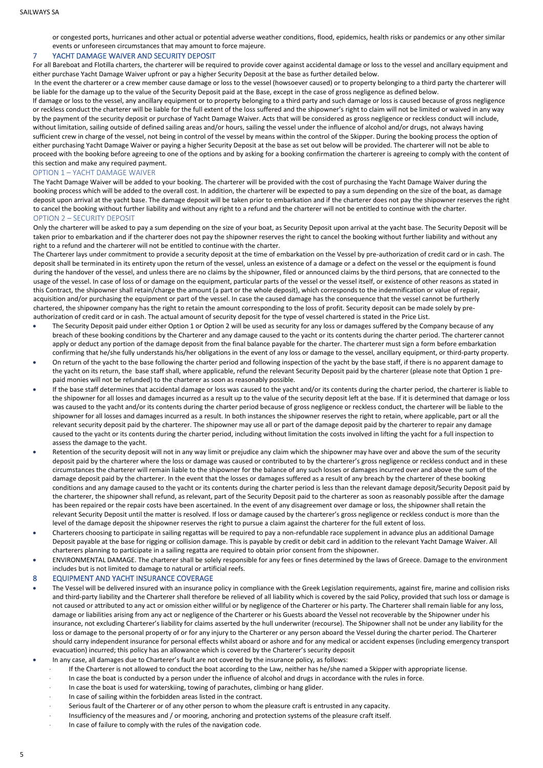or congested ports, hurricanes and other actual or potential adverse weather conditions, flood, epidemics, health risks or pandemics or any other similar events or unforeseen circumstances that may amount to force majeure.

#### <span id="page-5-0"></span>7 YACHT DAMAGE WAIVER AND SECURITY DEPOSIT

For all Bareboat and Flotilla charters, the charterer will be required to provide cover against accidental damage or loss to the vessel and ancillary equipment and either purchase Yacht Damage Waiver upfront or pay a higher Security Deposit at the base as further detailed below.

In the event the charterer or a crew member cause damage or loss to the vessel (howsoever caused) or to property belonging to a third party the charterer will be liable for the damage up to the value of the Security Deposit paid at the Base, except in the case of gross negligence as defined below.

If damage or loss to the vessel, any ancillary equipment or to property belonging to a third party and such damage or loss is caused because of gross negligence or reckless conduct the charterer will be liable for the full extent of the loss suffered and the shipowner's right to claim will not be limited or waived in any way by the payment of the security deposit or purchase of Yacht Damage Waiver. Acts that will be considered as gross negligence or reckless conduct will include, without limitation, sailing outside of defined sailing areas and/or hours, sailing the vessel under the influence of alcohol and/or drugs, not always having sufficient crew in charge of the vessel, not being in control of the vessel by means within the control of the Skipper. During the booking process the option of either purchasing Yacht Damage Waiver or paying a higher Security Deposit at the base as set out below will be provided. The charterer will not be able to proceed with the booking before agreeing to one of the options and by asking for a booking confirmation the charterer is agreeing to comply with the content of this section and make any required payment.

#### <span id="page-5-1"></span>OPTION 1 – YACHT DAMAGE WAIVER

The Yacht Damage Waiver will be added to your booking. The charterer will be provided with the cost of purchasing the Yacht Damage Waiver during the booking process which will be added to the overall cost. In addition, the charterer will be expected to pay a sum depending on the size of the boat, as damage deposit upon arrival at the yacht base. The damage deposit will be taken prior to embarkation and if the charterer does not pay the shipowner reserves the right to cancel the booking without further liability and without any right to a refund and the charterer will not be entitled to continue with the charter. OPTION 2 – SECURITY DEPOSIT

<span id="page-5-2"></span>Only the charterer will be asked to pay a sum depending on the size of your boat, as Security Deposit upon arrival at the yacht base. The Security Deposit will be taken prior to embarkation and if the charterer does not pay the shipowner reserves the right to cancel the booking without further liability and without any right to a refund and the charterer will not be entitled to continue with the charter.

The Charterer lays under commitment to provide a security deposit at the time of embarkation on the Vessel by pre-authorization of credit card or in cash. The deposit shall be terminated in its entirety upon the return of the vessel, unless an existence of a damage or a defect on the vessel or the equipment is found during the handover of the vessel, and unless there are no claims by the shipowner, filed or announced claims by the third persons, that are connected to the usage of the vessel. In case of loss of or damage on the equipment, particular parts of the vessel or the vessel itself, or existence of other reasons as stated in this Contract, the shipowner shall retain/charge the amount (a part or the whole deposit), which corresponds to the indemnification or value of repair, acquisition and/or purchasing the equipment or part of the vessel. In case the caused damage has the consequence that the vessel cannot be furtherly chartered, the shipowner company has the right to retain the amount corresponding to the loss of profit. Security deposit can be made solely by preauthorization of credit card or in cash. The actual amount of security deposit for the type of vessel chartered is stated in the Price List.

- The Security Deposit paid under either Option 1 or Option 2 will be used as security for any loss or damages suffered by the Company because of any breach of these booking conditions by the Charterer and any damage caused to the yacht or its contents during the charter period. The charterer cannot apply or deduct any portion of the damage deposit from the final balance payable for the charter. The charterer must sign a form before embarkation confirming that he/she fully understands his/her obligations in the event of any loss or damage to the vessel, ancillary equipment, or third-party property.
- On return of the yacht to the base following the charter period and following inspection of the yacht by the base staff, if there is no apparent damage to the yacht on its return, the base staff shall, where applicable, refund the relevant Security Deposit paid by the charterer (please note that Option 1 prepaid monies will not be refunded) to the charterer as soon as reasonably possible.
- If the base staff determines that accidental damage or loss was caused to the yacht and/or its contents during the charter period, the charterer is liable to the shipowner for all losses and damages incurred as a result up to the value of the security deposit left at the base. If it is determined that damage or loss was caused to the yacht and/or its contents during the charter period because of gross negligence or reckless conduct, the charterer will be liable to the shipowner for all losses and damages incurred as a result. In both instances the shipowner reserves the right to retain, where applicable, part or all the relevant security deposit paid by the charterer. The shipowner may use all or part of the damage deposit paid by the charterer to repair any damage caused to the yacht or its contents during the charter period, including without limitation the costs involved in lifting the yacht for a full inspection to assess the damage to the yacht.
- Retention of the security deposit will not in any way limit or prejudice any claim which the shipowner may have over and above the sum of the security deposit paid by the charterer where the loss or damage was caused or contributed to by the charterer's gross negligence or reckless conduct and in these circumstances the charterer will remain liable to the shipowner for the balance of any such losses or damages incurred over and above the sum of the damage deposit paid by the charterer. In the event that the losses or damages suffered as a result of any breach by the charterer of these booking conditions and any damage caused to the yacht or its contents during the charter period is less than the relevant damage deposit/Security Deposit paid by the charterer, the shipowner shall refund, as relevant, part of the Security Deposit paid to the charterer as soon as reasonably possible after the damage has been repaired or the repair costs have been ascertained. In the event of any disagreement over damage or loss, the shipowner shall retain the relevant Security Deposit until the matter is resolved. If loss or damage caused by the charterer's gross negligence or reckless conduct is more than the level of the damage deposit the shipowner reserves the right to pursue a claim against the charterer for the full extent of loss.
- Charterers choosing to participate in sailing regattas will be required to pay a non-refundable race supplement in advance plus an additional Damage Deposit payable at the base for rigging or collision damage. This is payable by credit or debit card in addition to the relevant Yacht Damage Waiver. All charterers planning to participate in a sailing regatta are required to obtain prior consent from the shipowner.
- ENVIRONMENTAL DAMAGE. The charterer shall be solely responsible for any fees or fines determined by the laws of Greece. Damage to the environment includes but is not limited to damage to natural or artificial reefs.

<span id="page-5-3"></span>EQUIPMENT AND YACHT INSURANCE COVERAGE

- The Vessel will be delivered insured with an insurance policy in compliance with the Greek Legislation requirements, against fire, marine and collision risks and third-party liability and the Charterer shall therefore be relieved of all liability which is covered by the said Policy, provided that such loss or damage is not caused or attributed to any act or omission either willful or by negligence of the Charterer or his party. The Charterer shall remain liable for any loss, damage or liabilities arising from any act or negligence of the Charterer or his Guests aboard the Vessel not recoverable by the Shipowner under his insurance, not excluding Charterer's liability for claims asserted by the hull underwriter (recourse). The Shipowner shall not be under any liability for the loss or damage to the personal property of or for any injury to the Charterer or any person aboard the Vessel during the charter period. The Charterer should carry independent insurance for personal effects whilst aboard or ashore and for any medical or accident expenses (including emergency transport evacuation) incurred; this policy has an allowance which is covered by the Charterer's security deposit
- In any case, all damages due to Charterer's fault are not covered by the insurance policy, as follows:
	- If the Charterer is not allowed to conduct the boat according to the Law, neither has he/she named a Skipper with appropriate license.
	- In case the boat is conducted by a person under the influence of alcohol and drugs in accordance with the rules in force.
	- In case the boat is used for waterskiing, towing of parachutes, climbing or hang glider.
	- In case of sailing within the forbidden areas listed in the contract.
	- Serious fault of the Charterer or of any other person to whom the pleasure craft is entrusted in any capacity.
	- Insufficiency of the measures and / or mooring, anchoring and protection systems of the pleasure craft itself.
	- In case of failure to comply with the rules of the navigation code.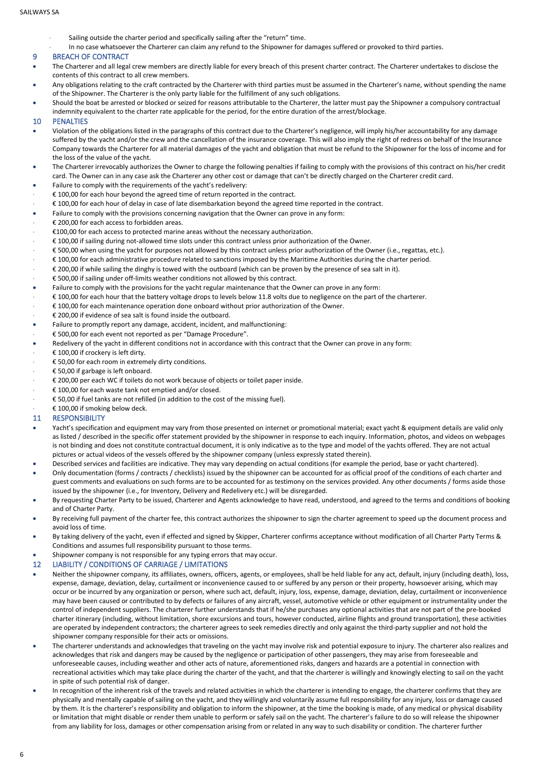- Sailing outside the charter period and specifically sailing after the "return" time.
- In no case whatsoever the Charterer can claim any refund to the Shipowner for damages suffered or provoked to third parties.

#### <span id="page-6-0"></span>9 BREACH OF CONTRACT

- The Charterer and all legal crew members are directly liable for every breach of this present charter contract. The Charterer undertakes to disclose the contents of this contract to all crew members.
- Any obligations relating to the craft contracted by the Charterer with third parties must be assumed in the Charterer's name, without spending the name of the Shipowner. The Charterer is the only party liable for the fulfillment of any such obligations.
- Should the boat be arrested or blocked or seized for reasons attributable to the Charterer, the latter must pay the Shipowner a compulsory contractual indemnity equivalent to the charter rate applicable for the period, for the entire duration of the arrest/blockage.

#### <span id="page-6-1"></span>10 PENALTIES

- Violation of the obligations listed in the paragraphs of this contract due to the Charterer's negligence, will imply his/her accountability for any damage suffered by the yacht and/or the crew and the cancellation of the insurance coverage. This will also imply the right of redress on behalf of the Insurance Company towards the Charterer for all material damages of the yacht and obligation that must be refund to the Shipowner for the loss of income and for the loss of the value of the yacht.
- The Charterer irrevocably authorizes the Owner to charge the following penalties if failing to comply with the provisions of this contract on his/her credit card. The Owner can in any case ask the Charterer any other cost or damage that can't be directly charged on the Charterer credit card.
- Failure to comply with the requirements of the yacht's redelivery:
- € 100,00 for each hour beyond the agreed time of return reported in the contract.
- € 100,00 for each hour of delay in case of late disembarkation beyond the agreed time reported in the contract.
- Failure to comply with the provisions concerning navigation that the Owner can prove in any form:
- € 200,00 for each access to forbidden areas.
- €100,00 for each access to protected marine areas without the necessary authorization.
- € 100,00 if sailing during not-allowed time slots under this contract unless prior authorization of the Owner.
- € 500,00 when using the yacht for purposes not allowed by this contract unless prior authorization of the Owner (i.e., regattas, etc.).
- € 100,00 for each administrative procedure related to sanctions imposed by the Maritime Authorities during the charter period.
- € 200,00 if while sailing the dinghy is towed with the outboard (which can be proven by the presence of sea salt in it).
- € 500,00 if sailing under off-limits weather conditions not allowed by this contract.
- Failure to comply with the provisions for the yacht regular maintenance that the Owner can prove in any form:
- € 100,00 for each hour that the battery voltage drops to levels below 11.8 volts due to negligence on the part of the charterer.
- € 100,00 for each maintenance operation done onboard without prior authorization of the Owner.
- € 200,00 if evidence of sea salt is found inside the outboard.
- Failure to promptly report any damage, accident, incident, and malfunctioning:
- € 500,00 for each event not reported as per "Damage Procedure".
- Redelivery of the yacht in different conditions not in accordance with this contract that the Owner can prove in any form:
- € 100,00 if crockery is left dirty.
- € 50,00 for each room in extremely dirty conditions.
- € 50,00 if garbage is left onboard.
- € 200,00 per each WC if toilets do not work because of objects or toilet paper inside.
- € 100,00 for each waste tank not emptied and/or closed.
- € 50,00 if fuel tanks are not refilled (in addition to the cost of the missing fuel).
- € 100,00 if smoking below deck.

#### <span id="page-6-2"></span>11 RESPONSIBILITY

- Yacht's specification and equipment may vary from those presented on internet or promotional material; exact yacht & equipment details are valid only as listed / described in the specific offer statement provided by the shipowner in response to each inquiry. Information, photos, and videos on webpages is not binding and does not constitute contractual document, it is only indicative as to the type and model of the yachts offered. They are not actual pictures or actual videos of the vessels offered by the shipowner company (unless expressly stated therein).
- Described services and facilities are indicative. They may vary depending on actual conditions (for example the period, base or yacht chartered).
- Only documentation (forms / contracts / checklists) issued by the shipowner can be accounted for as official proof of the conditions of each charter and guest comments and evaluations on such forms are to be accounted for as testimony on the services provided. Any other documents / forms aside those issued by the shipowner (i.e., for Inventory, Delivery and Redelivery etc.) will be disregarded.
- By requesting Charter Party to be issued, Charterer and Agents acknowledge to have read, understood, and agreed to the terms and conditions of booking and of Charter Party.
- By receiving full payment of the charter fee, this contract authorizes the shipowner to sign the charter agreement to speed up the document process and avoid loss of time.
- By taking delivery of the yacht, even if effected and signed by Skipper, Charterer confirms acceptance without modification of all Charter Party Terms & Conditions and assumes full responsibility pursuant to those terms.
- Shipowner company is not responsible for any typing errors that may occur.

#### <span id="page-6-3"></span>12 LIABILITY / CONDITIONS OF CARRIAGE / LIMITATIONS

- Neither the shipowner company, its affiliates, owners, officers, agents, or employees, shall be held liable for any act, default, injury (including death), loss, expense, damage, deviation, delay, curtailment or inconvenience caused to or suffered by any person or their property, howsoever arising, which may occur or be incurred by any organization or person, where such act, default, injury, loss, expense, damage, deviation, delay, curtailment or inconvenience may have been caused or contributed to by defects or failures of any aircraft, vessel, automotive vehicle or other equipment or instrumentality under the control of independent suppliers. The charterer further understands that if he/she purchases any optional activities that are not part of the pre-booked charter itinerary (including, without limitation, shore excursions and tours, however conducted, airline flights and ground transportation), these activities are operated by independent contractors; the charterer agrees to seek remedies directly and only against the third-party supplier and not hold the shipowner company responsible for their acts or omissions.
- The charterer understands and acknowledges that traveling on the yacht may involve risk and potential exposure to injury. The charterer also realizes and acknowledges that risk and dangers may be caused by the negligence or participation of other passengers, they may arise from foreseeable and unforeseeable causes, including weather and other acts of nature, aforementioned risks, dangers and hazards are a potential in connection with recreational activities which may take place during the charter of the yacht, and that the charterer is willingly and knowingly electing to sail on the yacht in spite of such potential risk of danger.
- In recognition of the inherent risk of the travels and related activities in which the charterer is intending to engage, the charterer confirms that they are physically and mentally capable of sailing on the yacht, and they willingly and voluntarily assume full responsibility for any injury, loss or damage caused by them. It is the charterer's responsibility and obligation to inform the shipowner, at the time the booking is made, of any medical or physical disability or limitation that might disable or render them unable to perform or safely sail on the yacht. The charterer's failure to do so will release the shipowner from any liability for loss, damages or other compensation arising from or related in any way to such disability or condition. The charterer further